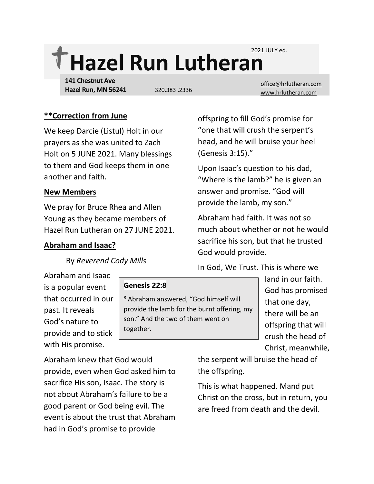2021 JULY ed.

# **Hazel Run Lutheran**

**141 Chestnut Ave Hazel Run, MN 56241**

[office@hrlutheran.com](mailto:office@hrlutheran.com) 320.383 .2336 [www.hrlutheran.com](http://www.hrlutheran.com/)

# **\*\*Correction from June**

We keep Darcie (Listul) Holt in our prayers as she was united to Zach Holt on 5 JUNE 2021. Many blessings to them and God keeps them in one another and faith.

## **New Members**

We pray for Bruce Rhea and Allen Young as they became members of Hazel Run Lutheran on 27 JUNE 2021.

## **Abraham and Isaac?**

By *Reverend Cody Mills*

Abraham and Isaac is a popular event that occurred in our past. It reveals God's nature to provide and to stick with His promise.

## **Genesis 22:8**

<sup>8</sup> Abraham answered, "God himself will provide the lamb for the burnt offering, my son." And the two of them went on together.

offspring to fill God's promise for "one that will crush the serpent's head, and he will bruise your heel (Genesis 3:15)."

Upon Isaac's question to his dad, "Where is the lamb?" he is given an answer and promise. "God will provide the lamb, my son."

Abraham had faith. It was not so much about whether or not he would sacrifice his son, but that he trusted God would provide.

In God, We Trust. This is where we

land in our faith. God has promised that one day, there will be an offspring that will crush the head of Christ, meanwhile,

Abraham knew that God would provide, even when God asked him to sacrifice His son, Isaac. The story is not about Abraham's failure to be a good parent or God being evil. The event is about the trust that Abraham had in God's promise to provide

the serpent will bruise the head of the offspring.

This is what happened. Mand put Christ on the cross, but in return, you are freed from death and the devil.